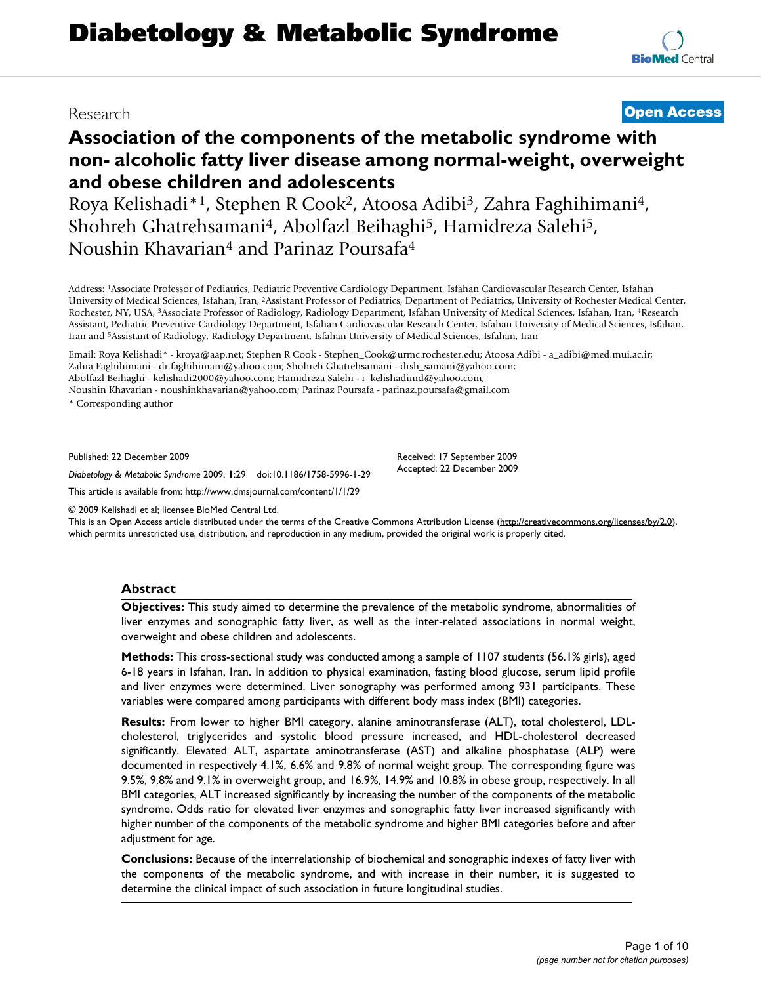# **Association of the components of the metabolic syndrome with non- alcoholic fatty liver disease among normal-weight, overweight and obese children and adolescents**

Roya Kelishadi\*1, Stephen R Cook2, Atoosa Adibi3, Zahra Faghihimani4, Shohreh Ghatrehsamani4, Abolfazl Beihaghi5, Hamidreza Salehi5, Noushin Khavarian4 and Parinaz Poursafa4

Address: 1Associate Professor of Pediatrics, Pediatric Preventive Cardiology Department, Isfahan Cardiovascular Research Center, Isfahan University of Medical Sciences, Isfahan, Iran, 2Assistant Professor of Pediatrics, Department of Pediatrics, University of Rochester Medical Center, Rochester, NY, USA, 3Associate Professor of Radiology, Radiology Department, Isfahan University of Medical Sciences, Isfahan, Iran, 4Research Assistant, Pediatric Preventive Cardiology Department, Isfahan Cardiovascular Research Center, Isfahan University of Medical Sciences, Isfahan, Iran and 5Assistant of Radiology, Radiology Department, Isfahan University of Medical Sciences, Isfahan, Iran

Email: Roya Kelishadi\* - kroya@aap.net; Stephen R Cook - Stephen\_Cook@urmc.rochester.edu; Atoosa Adibi - a\_adibi@med.mui.ac.ir; Zahra Faghihimani - dr.faghihimani@yahoo.com; Shohreh Ghatrehsamani - drsh\_samani@yahoo.com; Abolfazl Beihaghi - kelishadi2000@yahoo.com; Hamidreza Salehi - r\_kelishadimd@yahoo.com; Noushin Khavarian - noushinkhavarian@yahoo.com; Parinaz Poursafa - parinaz.poursafa@gmail.com

\* Corresponding author

Published: 22 December 2009

*Diabetology & Metabolic Syndrome* 2009, **1**:29 doi:10.1186/1758-5996-1-29

[This article is available from: http://www.dmsjournal.com/content/1/1/29](http://www.dmsjournal.com/content/1/1/29)

© 2009 Kelishadi et al; licensee BioMed Central Ltd.

This is an Open Access article distributed under the terms of the Creative Commons Attribution License [\(http://creativecommons.org/licenses/by/2.0\)](http://creativecommons.org/licenses/by/2.0), which permits unrestricted use, distribution, and reproduction in any medium, provided the original work is properly cited.

#### **Abstract**

**Objectives:** This study aimed to determine the prevalence of the metabolic syndrome, abnormalities of liver enzymes and sonographic fatty liver, as well as the inter-related associations in normal weight, overweight and obese children and adolescents.

**Methods:** This cross-sectional study was conducted among a sample of 1107 students (56.1% girls), aged 6-18 years in Isfahan, Iran. In addition to physical examination, fasting blood glucose, serum lipid profile and liver enzymes were determined. Liver sonography was performed among 931 participants. These variables were compared among participants with different body mass index (BMI) categories.

**Results:** From lower to higher BMI category, alanine aminotransferase (ALT), total cholesterol, LDLcholesterol, triglycerides and systolic blood pressure increased, and HDL-cholesterol decreased significantly. Elevated ALT, aspartate aminotransferase (AST) and alkaline phosphatase (ALP) were documented in respectively 4.1%, 6.6% and 9.8% of normal weight group. The corresponding figure was 9.5%, 9.8% and 9.1% in overweight group, and 16.9%, 14.9% and 10.8% in obese group, respectively. In all BMI categories, ALT increased significantly by increasing the number of the components of the metabolic syndrome. Odds ratio for elevated liver enzymes and sonographic fatty liver increased significantly with higher number of the components of the metabolic syndrome and higher BMI categories before and after adjustment for age.

**Conclusions:** Because of the interrelationship of biochemical and sonographic indexes of fatty liver with the components of the metabolic syndrome, and with increase in their number, it is suggested to determine the clinical impact of such association in future longitudinal studies.

# Research **[Open Access](http://www.biomedcentral.com/info/about/charter/)**

Received: 17 September 2009 Accepted: 22 December 2009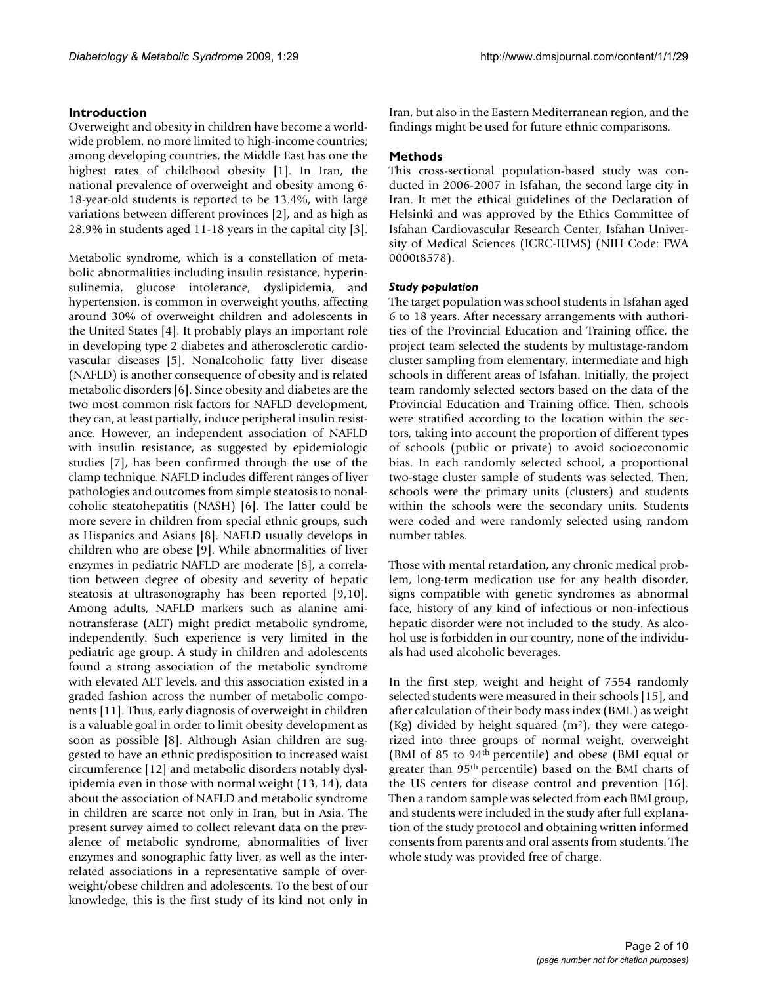## **Introduction**

Overweight and obesity in children have become a worldwide problem, no more limited to high-income countries; among developing countries, the Middle East has one the highest rates of childhood obesity [1]. In Iran, the national prevalence of overweight and obesity among 6- 18-year-old students is reported to be 13.4%, with large variations between different provinces [2], and as high as 28.9% in students aged 11-18 years in the capital city [3].

Metabolic syndrome, which is a constellation of metabolic abnormalities including insulin resistance, hyperinsulinemia, glucose intolerance, dyslipidemia, and hypertension, is common in overweight youths, affecting around 30% of overweight children and adolescents in the United States [4]. It probably plays an important role in developing type 2 diabetes and atherosclerotic cardiovascular diseases [5]. Nonalcoholic fatty liver disease (NAFLD) is another consequence of obesity and is related metabolic disorders [6]. Since obesity and diabetes are the two most common risk factors for NAFLD development, they can, at least partially, induce peripheral insulin resistance. However, an independent association of NAFLD with insulin resistance, as suggested by epidemiologic studies [7], has been confirmed through the use of the clamp technique. NAFLD includes different ranges of liver pathologies and outcomes from simple steatosis to nonalcoholic steatohepatitis (NASH) [6]. The latter could be more severe in children from special ethnic groups, such as Hispanics and Asians [8]. NAFLD usually develops in children who are obese [9]. While abnormalities of liver enzymes in pediatric NAFLD are moderate [8], a correlation between degree of obesity and severity of hepatic steatosis at ultrasonography has been reported [9,10]. Among adults, NAFLD markers such as alanine aminotransferase (ALT) might predict metabolic syndrome, independently. Such experience is very limited in the pediatric age group. A study in children and adolescents found a strong association of the metabolic syndrome with elevated ALT levels, and this association existed in a graded fashion across the number of metabolic components [11]. Thus, early diagnosis of overweight in children is a valuable goal in order to limit obesity development as soon as possible [8]. Although Asian children are suggested to have an ethnic predisposition to increased waist circumference [12] and metabolic disorders notably dyslipidemia even in those with normal weight (13, 14), data about the association of NAFLD and metabolic syndrome in children are scarce not only in Iran, but in Asia. The present survey aimed to collect relevant data on the prevalence of metabolic syndrome, abnormalities of liver enzymes and sonographic fatty liver, as well as the interrelated associations in a representative sample of overweight/obese children and adolescents. To the best of our knowledge, this is the first study of its kind not only in

Iran, but also in the Eastern Mediterranean region, and the findings might be used for future ethnic comparisons.

### **Methods**

This cross-sectional population-based study was conducted in 2006-2007 in Isfahan, the second large city in Iran. It met the ethical guidelines of the Declaration of Helsinki and was approved by the Ethics Committee of Isfahan Cardiovascular Research Center, Isfahan University of Medical Sciences (ICRC-IUMS) (NIH Code: FWA 0000t8578).

#### *Study population*

The target population was school students in Isfahan aged 6 to 18 years. After necessary arrangements with authorities of the Provincial Education and Training office, the project team selected the students by multistage-random cluster sampling from elementary, intermediate and high schools in different areas of Isfahan. Initially, the project team randomly selected sectors based on the data of the Provincial Education and Training office. Then, schools were stratified according to the location within the sectors, taking into account the proportion of different types of schools (public or private) to avoid socioeconomic bias. In each randomly selected school, a proportional two-stage cluster sample of students was selected. Then, schools were the primary units (clusters) and students within the schools were the secondary units. Students were coded and were randomly selected using random number tables.

Those with mental retardation, any chronic medical problem, long-term medication use for any health disorder, signs compatible with genetic syndromes as abnormal face, history of any kind of infectious or non-infectious hepatic disorder were not included to the study. As alcohol use is forbidden in our country, none of the individuals had used alcoholic beverages.

In the first step, weight and height of 7554 randomly selected students were measured in their schools [15], and after calculation of their body mass index (BMI.) as weight (Kg) divided by height squared  $(m^2)$ , they were categorized into three groups of normal weight, overweight (BMI of 85 to 94th percentile) and obese (BMI equal or greater than 95th percentile) based on the BMI charts of the US centers for disease control and prevention [16]. Then a random sample was selected from each BMI group, and students were included in the study after full explanation of the study protocol and obtaining written informed consents from parents and oral assents from students. The whole study was provided free of charge.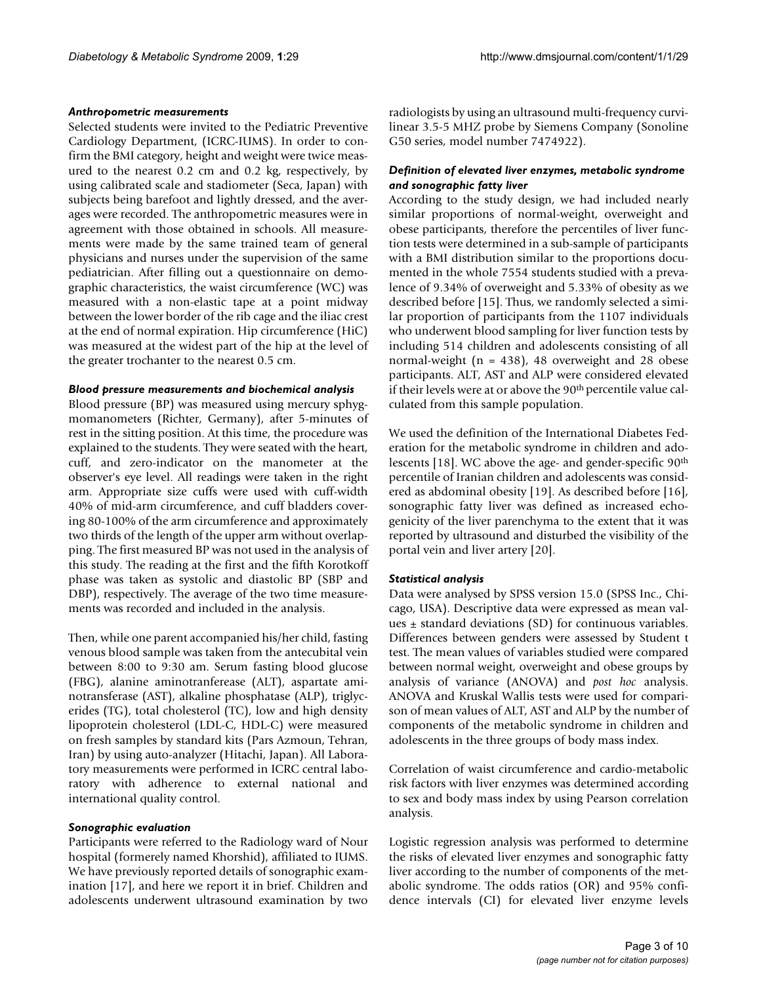# *Anthropometric measurements*

Selected students were invited to the Pediatric Preventive Cardiology Department, (ICRC-IUMS). In order to confirm the BMI category, height and weight were twice measured to the nearest 0.2 cm and 0.2 kg, respectively, by using calibrated scale and stadiometer (Seca, Japan) with subjects being barefoot and lightly dressed, and the averages were recorded. The anthropometric measures were in agreement with those obtained in schools. All measurements were made by the same trained team of general physicians and nurses under the supervision of the same pediatrician. After filling out a questionnaire on demographic characteristics, the waist circumference (WC) was measured with a non-elastic tape at a point midway between the lower border of the rib cage and the iliac crest at the end of normal expiration. Hip circumference (HiC) was measured at the widest part of the hip at the level of the greater trochanter to the nearest 0.5 cm.

# *Blood pressure measurements and biochemical analysis*

Blood pressure (BP) was measured using mercury sphygmomanometers (Richter, Germany), after 5-minutes of rest in the sitting position. At this time, the procedure was explained to the students. They were seated with the heart, cuff, and zero-indicator on the manometer at the observer's eye level. All readings were taken in the right arm. Appropriate size cuffs were used with cuff-width 40% of mid-arm circumference, and cuff bladders covering 80-100% of the arm circumference and approximately two thirds of the length of the upper arm without overlapping. The first measured BP was not used in the analysis of this study. The reading at the first and the fifth Korotkoff phase was taken as systolic and diastolic BP (SBP and DBP), respectively. The average of the two time measurements was recorded and included in the analysis.

Then, while one parent accompanied his/her child, fasting venous blood sample was taken from the antecubital vein between 8:00 to 9:30 am. Serum fasting blood glucose (FBG), alanine aminotranferease (ALT), aspartate aminotransferase (AST), alkaline phosphatase (ALP), triglycerides (TG), total cholesterol (TC), low and high density lipoprotein cholesterol (LDL-C, HDL-C) were measured on fresh samples by standard kits (Pars Azmoun, Tehran, Iran) by using auto-analyzer (Hitachi, Japan). All Laboratory measurements were performed in ICRC central laboratory with adherence to external national and international quality control.

# *Sonographic evaluation*

Participants were referred to the Radiology ward of Nour hospital (formerely named Khorshid), affiliated to IUMS. We have previously reported details of sonographic examination [17], and here we report it in brief. Children and adolescents underwent ultrasound examination by two

radiologists by using an ultrasound multi-frequency curvilinear 3.5-5 MHZ probe by Siemens Company (Sonoline G50 series, model number 7474922).

# *Definition of elevated liver enzymes, metabolic syndrome and sonographic fatty liver*

According to the study design, we had included nearly similar proportions of normal-weight, overweight and obese participants, therefore the percentiles of liver function tests were determined in a sub-sample of participants with a BMI distribution similar to the proportions documented in the whole 7554 students studied with a prevalence of 9.34% of overweight and 5.33% of obesity as we described before [15]. Thus, we randomly selected a similar proportion of participants from the 1107 individuals who underwent blood sampling for liver function tests by including 514 children and adolescents consisting of all normal-weight (n = 438), 48 overweight and 28 obese participants. ALT, AST and ALP were considered elevated if their levels were at or above the 90<sup>th</sup> percentile value calculated from this sample population.

We used the definition of the International Diabetes Federation for the metabolic syndrome in children and adolescents [18]. WC above the age- and gender-specific 90th percentile of Iranian children and adolescents was considered as abdominal obesity [19]. As described before [16], sonographic fatty liver was defined as increased echogenicity of the liver parenchyma to the extent that it was reported by ultrasound and disturbed the visibility of the portal vein and liver artery [20].

# *Statistical analysis*

Data were analysed by SPSS version 15.0 (SPSS Inc., Chicago, USA). Descriptive data were expressed as mean values  $\pm$  standard deviations (SD) for continuous variables. Differences between genders were assessed by Student t test. The mean values of variables studied were compared between normal weight, overweight and obese groups by analysis of variance (ANOVA) and *post hoc* analysis. ANOVA and Kruskal Wallis tests were used for comparison of mean values of ALT, AST and ALP by the number of components of the metabolic syndrome in children and adolescents in the three groups of body mass index.

Correlation of waist circumference and cardio-metabolic risk factors with liver enzymes was determined according to sex and body mass index by using Pearson correlation analysis.

Logistic regression analysis was performed to determine the risks of elevated liver enzymes and sonographic fatty liver according to the number of components of the metabolic syndrome. The odds ratios (OR) and 95% confidence intervals (CI) for elevated liver enzyme levels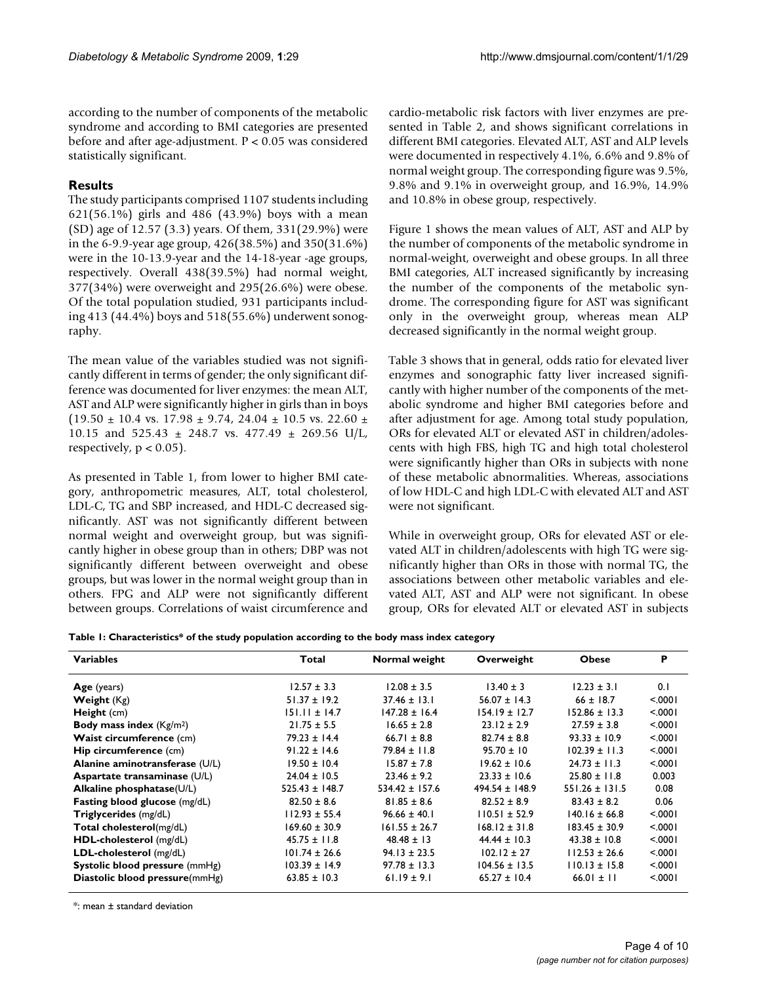according to the number of components of the metabolic syndrome and according to BMI categories are presented before and after age-adjustment. P < 0.05 was considered statistically significant.

# **Results**

The study participants comprised 1107 students including 621(56.1%) girls and 486 (43.9%) boys with a mean (SD) age of 12.57 (3.3) years. Of them, 331(29.9%) were in the 6-9.9-year age group, 426(38.5%) and 350(31.6%) were in the 10-13.9-year and the 14-18-year -age groups, respectively. Overall 438(39.5%) had normal weight, 377(34%) were overweight and 295(26.6%) were obese. Of the total population studied, 931 participants including 413 (44.4%) boys and 518(55.6%) underwent sonography.

The mean value of the variables studied was not significantly different in terms of gender; the only significant difference was documented for liver enzymes: the mean ALT, AST and ALP were significantly higher in girls than in boys  $(19.50 \pm 10.4 \text{ vs. } 17.98 \pm 9.74, 24.04 \pm 10.5 \text{ vs. } 22.60 \pm 10.5)$ 10.15 and 525.43 ± 248.7 vs. 477.49 ± 269.56 U/L, respectively,  $p < 0.05$ ).

As presented in Table 1, from lower to higher BMI category, anthropometric measures, ALT, total cholesterol, LDL-C, TG and SBP increased, and HDL-C decreased significantly. AST was not significantly different between normal weight and overweight group, but was significantly higher in obese group than in others; DBP was not significantly different between overweight and obese groups, but was lower in the normal weight group than in others. FPG and ALP were not significantly different between groups. Correlations of waist circumference and cardio-metabolic risk factors with liver enzymes are presented in Table 2, and shows significant correlations in different BMI categories. Elevated ALT, AST and ALP levels were documented in respectively 4.1%, 6.6% and 9.8% of normal weight group. The corresponding figure was 9.5%, 9.8% and 9.1% in overweight group, and 16.9%, 14.9% and 10.8% in obese group, respectively.

Figure 1 shows the mean values of ALT, AST and ALP by the number of components of the metabolic syndrome in normal-weight, overweight and obese groups. In all three BMI categories, ALT increased significantly by increasing the number of the components of the metabolic syndrome. The corresponding figure for AST was significant only in the overweight group, whereas mean ALP decreased significantly in the normal weight group.

Table 3 shows that in general, odds ratio for elevated liver enzymes and sonographic fatty liver increased significantly with higher number of the components of the metabolic syndrome and higher BMI categories before and after adjustment for age. Among total study population, ORs for elevated ALT or elevated AST in children/adolescents with high FBS, high TG and high total cholesterol were significantly higher than ORs in subjects with none of these metabolic abnormalities. Whereas, associations of low HDL-C and high LDL-C with elevated ALT and AST were not significant.

While in overweight group, ORs for elevated AST or elevated ALT in children/adolescents with high TG were significantly higher than ORs in those with normal TG, the associations between other metabolic variables and elevated ALT, AST and ALP were not significant. In obese group, ORs for elevated ALT or elevated AST in subjects

| Table 1: Characteristics* of the study population according to the body mass index category |  |  |  |
|---------------------------------------------------------------------------------------------|--|--|--|
|---------------------------------------------------------------------------------------------|--|--|--|

| <b>Variables</b>                 | Total              | Normal weight      | Overweight         | <b>Obese</b>       | P       |
|----------------------------------|--------------------|--------------------|--------------------|--------------------|---------|
| Age (years)                      | $12.57 \pm 3.3$    | $12.08 \pm 3.5$    | $13.40 \pm 3$      | $12.23 \pm 3.1$    | 0.1     |
| <b>Weight</b> $(Kg)$             | $51.37 \pm 19.2$   | $37.46 \pm 13.1$   | $56.07 \pm 14.3$   | $66 \pm 18.7$      | < 0001  |
| Height (cm)                      | $151.11 \pm 14.7$  | $147.28 \pm 16.4$  | $154.19 \pm 12.7$  | $152.86 \pm 13.3$  | < 0001  |
| <b>Body mass index</b> $(Kg/m2)$ | $21.75 \pm 5.5$    | $16.65 \pm 2.8$    | $23.12 \pm 2.9$    | $27.59 \pm 3.8$    | < 0001  |
| <b>Waist circumference (cm)</b>  | $79.23 \pm 14.4$   | $66.71 \pm 8.8$    | $82.74 \pm 8.8$    | $93.33 \pm 10.9$   | < 0001  |
| <b>Hip circumference (cm)</b>    | $91.22 \pm 14.6$   | $79.84 \pm 11.8$   | $95.70 \pm 10$     | $102.39 \pm 11.3$  | < 0001  |
| Alanine aminotransferase (U/L)   | $19.50 \pm 10.4$   | $15.87 \pm 7.8$    | $19.62 \pm 10.6$   | $24.73 \pm 11.3$   | < 0001  |
| Aspartate transaminase (U/L)     | $24.04 \pm 10.5$   | $23.46 \pm 9.2$    | $23.33 \pm 10.6$   | $25.80 \pm 11.8$   | 0.003   |
| Alkaline phosphatase(U/L)        | $525.43 \pm 148.7$ | $534.42 \pm 157.6$ | $494.54 \pm 148.9$ | $551.26 \pm 131.5$ | 0.08    |
| Fasting blood glucose (mg/dL)    | $82.50 \pm 8.6$    | $81.85 \pm 8.6$    | $82.52 \pm 8.9$    | $83.43 \pm 8.2$    | 0.06    |
| Triglycerides (mg/dL)            | $112.93 \pm 55.4$  | $96.66 \pm 40.1$   | $110.51 \pm 52.9$  | $140.16 \pm 66.8$  | < 0001  |
| Total cholesterol(mg/dL)         | $169.60 \pm 30.9$  | $161.55 \pm 26.7$  | $168.12 \pm 31.8$  | $183.45 \pm 30.9$  | < .0001 |
| HDL-cholesterol (mg/dL)          | $45.75 \pm 11.8$   | $48.48 \pm 13$     | $44.44 \pm 10.3$   | $43.38 \pm 10.8$   | < 0001  |
| LDL-cholesterol (mg/dL)          | $101.74 \pm 26.6$  | $94.13 \pm 23.5$   | $102.12 \pm 27$    | $112.53 \pm 26.6$  | < 0001  |
| Systolic blood pressure (mmHg)   | $103.39 \pm 14.9$  | $97.78 \pm 13.3$   | $104.56 \pm 13.5$  | $110.13 \pm 15.8$  | < .0001 |
| Diastolic blood pressure(mmHg)   | $63.85 \pm 10.3$   | $61.19 \pm 9.1$    | $65.27 \pm 10.4$   | $66.01 \pm 11$     | < 0001  |

\*: mean ± standard deviation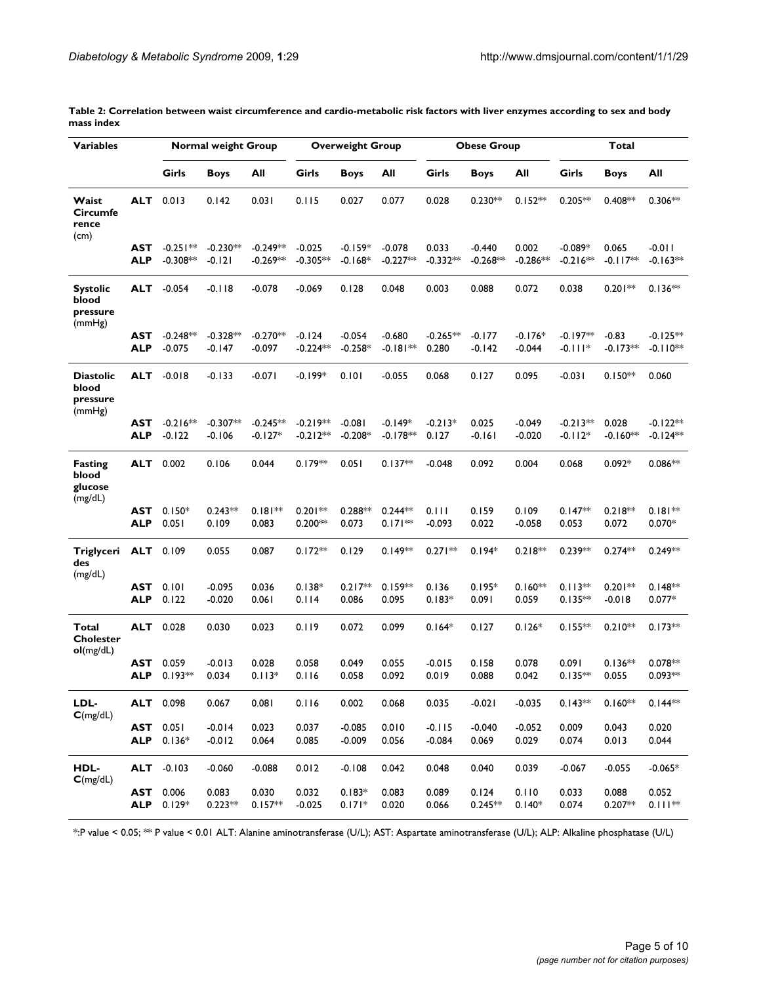| <b>Variables</b>                                |                          |                          | <b>Normal weight Group</b> |                          | <b>Overweight Group</b>  |                        |                        | <b>Obese Group</b>   |                        |                       | Total                   |                       |                          |
|-------------------------------------------------|--------------------------|--------------------------|----------------------------|--------------------------|--------------------------|------------------------|------------------------|----------------------|------------------------|-----------------------|-------------------------|-----------------------|--------------------------|
|                                                 |                          | Girls                    | <b>Boys</b>                | All                      | Girls                    | Boys                   | All                    | Girls                | <b>Boys</b>            | All                   | Girls                   | <b>Boys</b>           | All                      |
| Waist<br>Circumfe<br>rence<br>(cm)              |                          | ALT 0.013                | 0.142                      | 0.031                    | 0.115                    | 0.027                  | 0.077                  | 0.028                | $0.230**$              | $0.152**$             | 0.205**                 | $0.408**$             | $0.306**$                |
|                                                 | <b>AST</b><br><b>ALP</b> | $-0.251**$<br>$-0.308**$ | -0.230**<br>$-0.121$       | $-0.249**$<br>$-0.269**$ | $-0.025$<br>$-0.305**$   | $-0.159*$<br>$-0.168*$ | $-0.078$<br>$-0.227**$ | 0.033<br>$-0.332**$  | $-0.440$<br>$-0.268**$ | 0.002<br>$-0.286**$   | $-0.089*$<br>$-0.216**$ | 0.065<br>$-0.117**$   | $-0.011$<br>$-0.163**$   |
| <b>Systolic</b><br>blood<br>pressure<br>(mmHg)  | <b>ALT</b>               | $-0.054$                 | $-0.118$                   | $-0.078$                 | $-0.069$                 | 0.128                  | 0.048                  | 0.003                | 0.088                  | 0.072                 | 0.038                   | $0.201**$             | $0.136**$                |
|                                                 | AST<br><b>ALP</b>        | $-0.248**$<br>$-0.075$   | -0.328**<br>-0.147         | $-0.270**$<br>$-0.097$   | $-0.124$<br>$-0.224**$   | $-0.054$<br>$-0.258*$  | $-0.680$<br>$-0.181**$ | $-0.265**$<br>0.280  | $-0.177$<br>$-0.142$   | $-0.176*$<br>$-0.044$ | -0.197**<br>$-0.111*$   | $-0.83$<br>$-0.173**$ | $-0.125**$<br>$-0.110**$ |
| <b>Diastolic</b><br>blood<br>pressure<br>(mmHg) | ALT                      | $-0.018$                 | $-0.133$                   | $-0.071$                 | $-0.199*$                | 0.101                  | $-0.055$               | 0.068                | 0.127                  | 0.095                 | $-0.031$                | $0.150**$             | 0.060                    |
|                                                 | AST<br><b>ALP</b>        | $-0.216**$<br>$-0.122$   | -0.307**<br>$-0.106$       | $-0.245**$<br>$-0.127*$  | $-0.219**$<br>$-0.212**$ | $-0.081$<br>$-0.208*$  | -0.149*<br>$-0.178**$  | $-0.213*$<br>0.127   | 0.025<br>$-0.161$      | $-0.049$<br>$-0.020$  | $-0.213**$<br>$-0.112*$ | 0.028<br>$-0.160**$   | -0.122**<br>$-0.124**$   |
| <b>Fasting</b><br>blood<br>glucose<br>(mg/dL)   | ALT                      | 0.002                    | 0.106                      | 0.044                    | $0.179**$                | 0.051                  | $0.137**$              | $-0.048$             | 0.092                  | 0.004                 | 0.068                   | $0.092*$              | $0.086**$                |
|                                                 | AST<br><b>ALP</b>        | $0.150*$<br>0.051        | $0.243**$<br>0.109         | $0.181**$<br>0.083       | $0.201**$<br>$0.200**$   | $0.288**$<br>0.073     | $0.244**$<br>$0.171**$ | 0.111<br>$-0.093$    | 0.159<br>0.022         | 0.109<br>$-0.058$     | $0.147**$<br>0.053      | $0.218**$<br>0.072    | $0.181**$<br>$0.070*$    |
| <b>Triglyceri</b><br>des<br>(mg/dL)             |                          | <b>ALT</b> 0.109         | 0.055                      | 0.087                    | $0.172**$                | 0.129                  | $0.149**$              | $0.271**$            | $0.194*$               | $0.218**$             | 0.239**                 | $0.274**$             | $0.249**$                |
|                                                 | AST<br><b>ALP</b>        | 0.101<br>0.122           | $-0.095$<br>$-0.020$       | 0.036<br>0.061           | $0.138*$<br>0.114        | $0.217**$<br>0.086     | $0.159**$<br>0.095     | 0.136<br>$0.183*$    | $0.195*$<br>0.091      | $0.160**$<br>0.059    | $0.113**$<br>$0.135**$  | $0.201**$<br>$-0.018$ | $0.148**$<br>$0.077*$    |
| Total<br><b>Cholester</b><br>ol(mg/dL)          | ALT                      | 0.028                    | 0.030                      | 0.023                    | 0.119                    | 0.072                  | 0.099                  | $0.164*$             | 0.127                  | $0.126*$              | $0.155**$               | $0.210**$             | $0.173**$                |
|                                                 | AST<br><b>ALP</b>        | 0.059<br>$0.193**$       | $-0.013$<br>0.034          | 0.028<br>$0.113*$        | 0.058<br>0.116           | 0.049<br>0.058         | 0.055<br>0.092         | $-0.015$<br>0.019    | 0.158<br>0.088         | 0.078<br>0.042        | 0.091<br>$0.135***$     | $0.136**$<br>0.055    | $0.078**$<br>$0.093**$   |
| LDL-<br>C(mg/dL)                                |                          | ALT 0.098                | 0.067                      | 0.081                    | 0.116                    | 0.002                  | 0.068                  | 0.035                | $-0.021$               | $-0.035$              | $0.143**$               | $0.160**$             | $0.144**$                |
|                                                 | AST<br><b>ALP</b>        | 0.051<br>$0.136*$        | $-0.014$<br>$-0.012$       | 0.023<br>0.064           | 0.037<br>0.085           | $-0.085$<br>$-0.009$   | 0.010<br>0.056         | $-0.115$<br>$-0.084$ | $-0.040$<br>0.069      | $-0.052$<br>0.029     | 0.009<br>0.074          | 0.043<br>0.013        | 0.020<br>0.044           |
| HDL-<br>C(mg/dL)                                |                          | ALT -0.103               | $-0.060$                   | $-0.088$                 | 0.012                    | $-0.108$               | 0.042                  | 0.048                | 0.040                  | 0.039                 | $-0.067$                | $-0.055$              | $-0.065*$                |
|                                                 | <b>AST</b><br><b>ALP</b> | 0.006<br>$0.129*$        | 0.083<br>$0.223**$         | 0.030<br>$0.157**$       | 0.032<br>$-0.025$        | $0.183*$<br>$0.171*$   | 0.083<br>0.020         | 0.089<br>0.066       | 0.124<br>$0.245**$     | 0.110<br>$0.140*$     | 0.033<br>0.074          | 0.088<br>$0.207**$    | 0.052<br>$0.111**$       |

**Table 2: Correlation between waist circumference and cardio-metabolic risk factors with liver enzymes according to sex and body mass index**

\*:P value < 0.05; \*\* P value < 0.01 ALT: Alanine aminotransferase (U/L); AST: Aspartate aminotransferase (U/L); ALP: Alkaline phosphatase (U/L)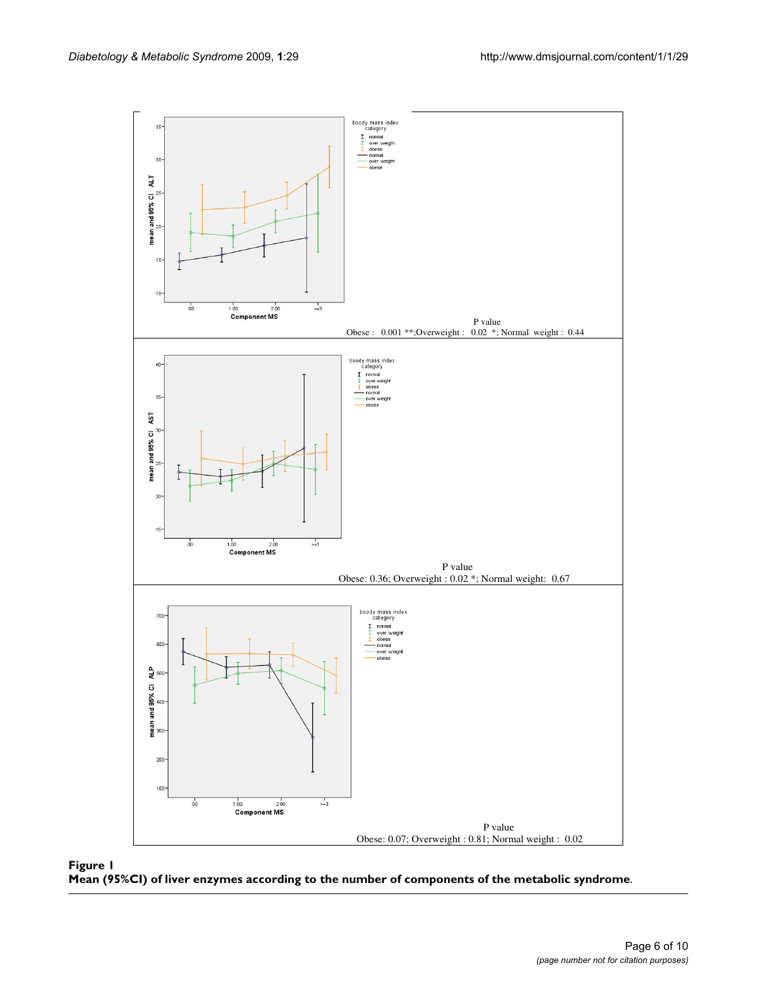

Mean (95%CI) of liver enzymes according to the **Figure 1** number of components of the metabolic syndrome **Mean (95%CI) of liver enzymes according to the number of components of the metabolic syndrome**.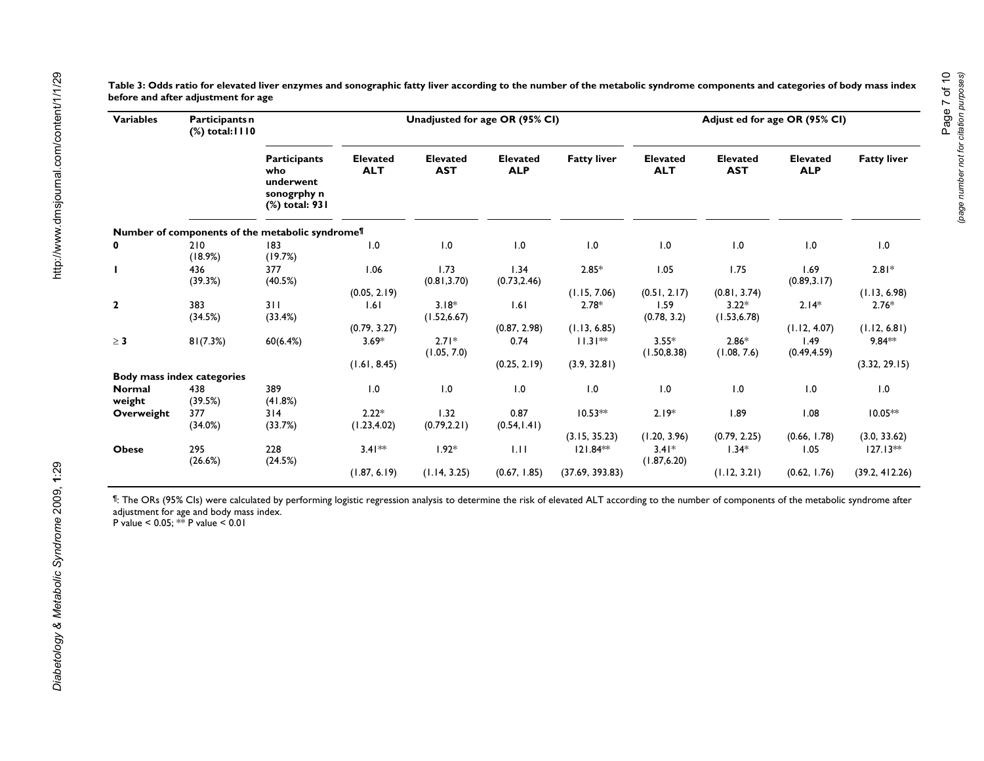| <b>Variables</b>        | Participants n<br>$(\%)$ total: $\blacksquare$              |                                                                          |                               | Unadjusted for age OR (95% CI) |                               |                    | Adjust ed for age OR (95% CI) |                               |                               |                    |
|-------------------------|-------------------------------------------------------------|--------------------------------------------------------------------------|-------------------------------|--------------------------------|-------------------------------|--------------------|-------------------------------|-------------------------------|-------------------------------|--------------------|
|                         |                                                             | <b>Participants</b><br>who<br>underwent<br>sonogrphy n<br>(%) total: 931 | <b>Elevated</b><br><b>ALT</b> | <b>Elevated</b><br><b>AST</b>  | <b>Elevated</b><br><b>ALP</b> | <b>Fatty liver</b> | <b>Elevated</b><br><b>ALT</b> | <b>Elevated</b><br><b>AST</b> | <b>Elevated</b><br><b>ALP</b> | <b>Fatty liver</b> |
|                         | Number of components of the metabolic syndrome <sup>¶</sup> |                                                                          |                               |                                |                               |                    |                               |                               |                               |                    |
| $\mathbf 0$             | 210<br>(18.9%)                                              | 183<br>(19.7%)                                                           | 1.0                           | 1.0                            | 1.0                           | 1.0                | 1.0                           | 1.0                           | 1.0                           | 1.0                |
| L                       | 436<br>(39.3%)                                              | 377<br>(40.5%)                                                           | 1.06                          | 1.73<br>(0.81, 3.70)           | 1.34<br>(0.73, 2.46)          | $2.85*$            | 1.05                          | 1.75                          | 1.69<br>(0.89, 3.17)          | $2.81*$            |
|                         |                                                             |                                                                          | (0.05, 2.19)                  |                                |                               | (1.15, 7.06)       | (0.51, 2.17)                  | (0.81, 3.74)                  |                               | (1.13, 6.98)       |
| $\mathbf{2}$            | 383<br>(34.5%)                                              | 311<br>(33.4%)                                                           | 1.61                          | $3.18*$<br>(1.52, 6.67)        | 1.61                          | $2.78*$            | 1.59<br>(0.78, 3.2)           | $3.22*$<br>(1.53, 6.78)       | $2.14*$                       | $2.76*$            |
|                         |                                                             |                                                                          | (0.79, 3.27)                  |                                | (0.87, 2.98)                  | (1.13, 6.85)       |                               |                               | (1.12, 4.07)                  | (1.12, 6.81)       |
| $\geq 3$                | 81(7.3%)                                                    | 60(6.4%)                                                                 | $3.69*$                       | $2.71*$<br>(1.05, 7.0)         | 0.74                          | $11.31**$          | $3.55*$<br>(1.50, 8.38)       | $2.86*$<br>(1.08, 7.6)        | 1.49<br>(0.49, 4.59)          | $9.84**$           |
|                         |                                                             |                                                                          | (1.61, 8.45)                  |                                | (0.25, 2.19)                  | (3.9, 32.81)       |                               |                               |                               | (3.32, 29.15)      |
|                         | <b>Body mass index categories</b>                           |                                                                          |                               |                                |                               |                    |                               |                               |                               |                    |
| <b>Normal</b><br>weight | 438<br>(39.5%)                                              | 389<br>(41.8%)                                                           | 1.0                           | 1.0                            | 1.0                           | 1.0                | 1.0                           | 1.0                           | 1.0                           | 1.0                |
| Overweight              | 377<br>(34.0%)                                              | 314<br>(33.7%)                                                           | $2.22*$<br>(1.23, 4.02)       | 1.32<br>(0.79, 2.21)           | 0.87<br>(0.54, 1.41)          | $10.53**$          | $2.19*$                       | 1.89                          | 1.08                          | $10.05**$          |
|                         |                                                             |                                                                          |                               |                                |                               | (3.15, 35.23)      | (1.20, 3.96)                  | (0.79, 2.25)                  | (0.66, 1.78)                  | (3.0, 33.62)       |
| <b>Obese</b>            | 295<br>(26.6%)                                              | 228<br>(24.5%)                                                           | $3.41**$                      | $1.92*$                        | 1.11                          | $121.84**$         | $3.41*$<br>(1.87, 6.20)       | $1.34*$                       | 1.05                          | $127.13**$         |
|                         |                                                             |                                                                          | (1.87, 6.19)                  | (1.14, 3.25)                   | (0.67, 1.85)                  | (37.69, 393.83)    |                               | (1.12, 3.21)                  | (0.62, 1.76)                  | (39.2, 412.26)     |

**Table 3: Odds ratio for elevated liver enzymes and sonographic fatty liver according to the number of the metabolic syndrome components and categories of body mass index before and after adjustment for age**

¶: The ORs (95% CIs) were calculated by performing logistic regression analysis to determine the risk of elevated ALT according to the number of components of the metabolic syndrome after adjustment for age and body mass index.

P value < 0.05; \*\* P value < 0.01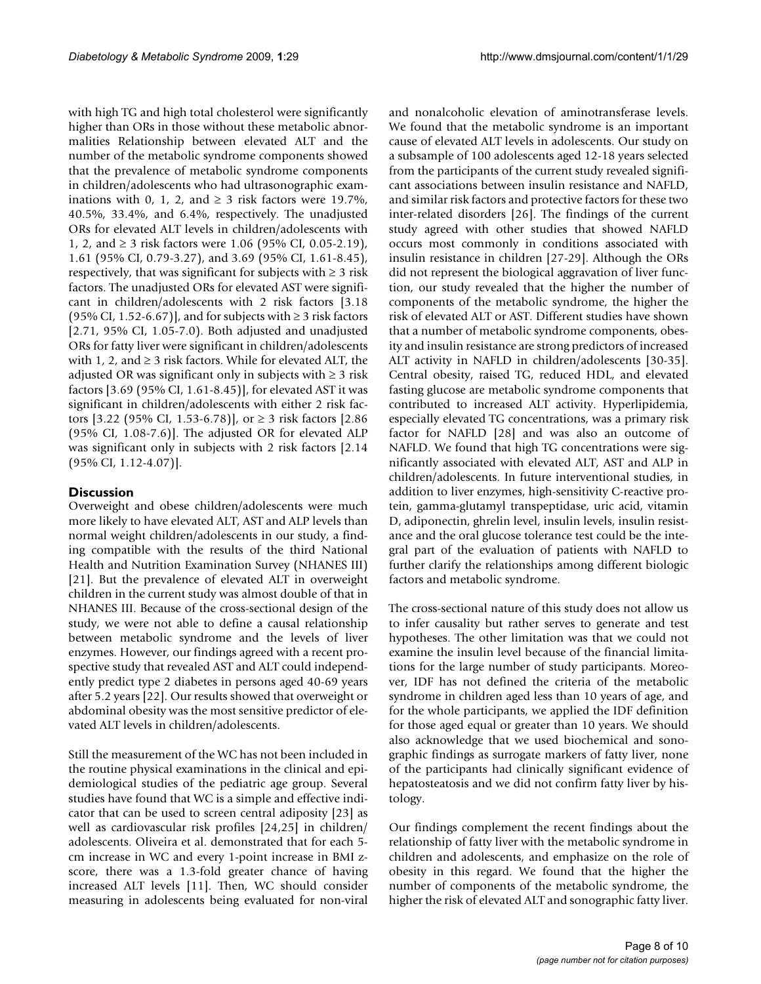with high TG and high total cholesterol were significantly higher than ORs in those without these metabolic abnormalities Relationship between elevated ALT and the number of the metabolic syndrome components showed that the prevalence of metabolic syndrome components in children/adolescents who had ultrasonographic examinations with 0, 1, 2, and  $\geq$  3 risk factors were 19.7%, 40.5%, 33.4%, and 6.4%, respectively. The unadjusted ORs for elevated ALT levels in children/adolescents with 1, 2, and ≥ 3 risk factors were 1.06 (95% CI, 0.05-2.19), 1.61 (95% CI, 0.79-3.27), and 3.69 (95% CI, 1.61-8.45), respectively, that was significant for subjects with  $\geq 3$  risk factors. The unadjusted ORs for elevated AST were significant in children/adolescents with 2 risk factors [3.18 (95% CI, 1.52-6.67)], and for subjects with  $\geq$  3 risk factors [2.71, 95% CI, 1.05-7.0). Both adjusted and unadjusted ORs for fatty liver were significant in children/adolescents with 1, 2, and  $\geq$  3 risk factors. While for elevated ALT, the adjusted OR was significant only in subjects with  $\geq 3$  risk factors [3.69 (95% CI, 1.61-8.45)], for elevated AST it was significant in children/adolescents with either 2 risk factors [3.22 (95% CI, 1.53-6.78)], or ≥ 3 risk factors [2.86 (95% CI, 1.08-7.6)]. The adjusted OR for elevated ALP was significant only in subjects with 2 risk factors [2.14 (95% CI, 1.12-4.07)].

# **Discussion**

Overweight and obese children/adolescents were much more likely to have elevated ALT, AST and ALP levels than normal weight children/adolescents in our study, a finding compatible with the results of the third National Health and Nutrition Examination Survey (NHANES III) [21]. But the prevalence of elevated ALT in overweight children in the current study was almost double of that in NHANES III. Because of the cross-sectional design of the study, we were not able to define a causal relationship between metabolic syndrome and the levels of liver enzymes. However, our findings agreed with a recent prospective study that revealed AST and ALT could independently predict type 2 diabetes in persons aged 40-69 years after 5.2 years [22]. Our results showed that overweight or abdominal obesity was the most sensitive predictor of elevated ALT levels in children/adolescents.

Still the measurement of the WC has not been included in the routine physical examinations in the clinical and epidemiological studies of the pediatric age group. Several studies have found that WC is a simple and effective indicator that can be used to screen central adiposity [23] as well as cardiovascular risk profiles [24,25] in children/ adolescents. Oliveira et al. demonstrated that for each 5 cm increase in WC and every 1-point increase in BMI zscore, there was a 1.3-fold greater chance of having increased ALT levels [11]. Then, WC should consider measuring in adolescents being evaluated for non-viral

and nonalcoholic elevation of aminotransferase levels. We found that the metabolic syndrome is an important cause of elevated ALT levels in adolescents. Our study on a subsample of 100 adolescents aged 12-18 years selected from the participants of the current study revealed significant associations between insulin resistance and NAFLD, and similar risk factors and protective factors for these two inter-related disorders [26]. The findings of the current study agreed with other studies that showed NAFLD occurs most commonly in conditions associated with insulin resistance in children [27-29]. Although the ORs did not represent the biological aggravation of liver function, our study revealed that the higher the number of components of the metabolic syndrome, the higher the risk of elevated ALT or AST. Different studies have shown that a number of metabolic syndrome components, obesity and insulin resistance are strong predictors of increased ALT activity in NAFLD in children/adolescents [30-35]. Central obesity, raised TG, reduced HDL, and elevated fasting glucose are metabolic syndrome components that contributed to increased ALT activity. Hyperlipidemia, especially elevated TG concentrations, was a primary risk factor for NAFLD [28] and was also an outcome of NAFLD. We found that high TG concentrations were significantly associated with elevated ALT, AST and ALP in children/adolescents. In future interventional studies, in addition to liver enzymes, high-sensitivity C-reactive protein, gamma-glutamyl transpeptidase, uric acid, vitamin D, adiponectin, ghrelin level, insulin levels, insulin resistance and the oral glucose tolerance test could be the integral part of the evaluation of patients with NAFLD to further clarify the relationships among different biologic factors and metabolic syndrome.

The cross-sectional nature of this study does not allow us to infer causality but rather serves to generate and test hypotheses. The other limitation was that we could not examine the insulin level because of the financial limitations for the large number of study participants. Moreover, IDF has not defined the criteria of the metabolic syndrome in children aged less than 10 years of age, and for the whole participants, we applied the IDF definition for those aged equal or greater than 10 years. We should also acknowledge that we used biochemical and sonographic findings as surrogate markers of fatty liver, none of the participants had clinically significant evidence of hepatosteatosis and we did not confirm fatty liver by histology.

Our findings complement the recent findings about the relationship of fatty liver with the metabolic syndrome in children and adolescents, and emphasize on the role of obesity in this regard. We found that the higher the number of components of the metabolic syndrome, the higher the risk of elevated ALT and sonographic fatty liver.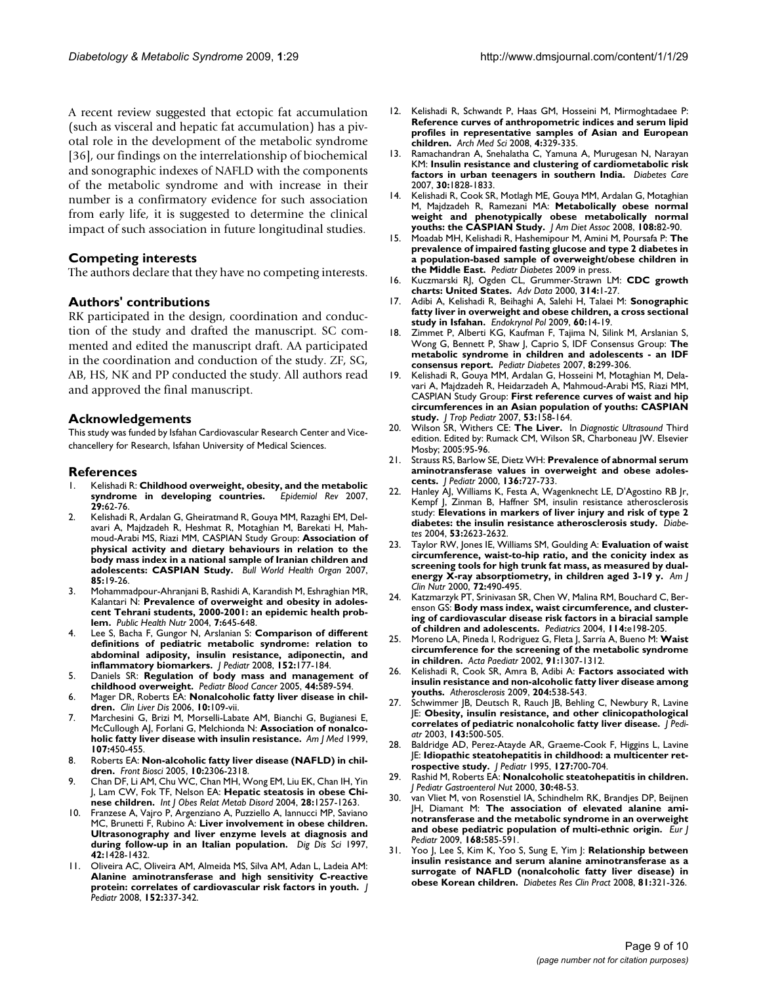A recent review suggested that ectopic fat accumulation (such as visceral and hepatic fat accumulation) has a pivotal role in the development of the metabolic syndrome [36], our findings on the interrelationship of biochemical and sonographic indexes of NAFLD with the components of the metabolic syndrome and with increase in their number is a confirmatory evidence for such association from early life, it is suggested to determine the clinical impact of such association in future longitudinal studies.

#### **Competing interests**

The authors declare that they have no competing interests.

#### **Authors' contributions**

RK participated in the design, coordination and conduction of the study and drafted the manuscript. SC commented and edited the manuscript draft. AA participated in the coordination and conduction of the study. ZF, SG, AB, HS, NK and PP conducted the study. All authors read and approved the final manuscript.

#### **Acknowledgements**

This study was funded by Isfahan Cardiovascular Research Center and Vicechancellery for Research, Isfahan University of Medical Sciences.

#### **References**

- 1. Kelishadi R: **[Childhood overweight, obesity, and the metabolic](http://www.ncbi.nlm.nih.gov/entrez/query.fcgi?cmd=Retrieve&db=PubMed&dopt=Abstract&list_uids=17478440)** [syndrome in developing countries.](http://www.ncbi.nlm.nih.gov/entrez/query.fcgi?cmd=Retrieve&db=PubMed&dopt=Abstract&list_uids=17478440) **29:**62-76.
- 2. Kelishadi R, Ardalan G, Gheiratmand R, Gouya MM, Razaghi EM, Delavari A, Majdzadeh R, Heshmat R, Motaghian M, Barekati H, Mahmoud-Arabi MS, Riazi MM, CASPIAN Study Group: **[Association of](http://www.ncbi.nlm.nih.gov/entrez/query.fcgi?cmd=Retrieve&db=PubMed&dopt=Abstract&list_uids=17242754) [physical activity and dietary behaviours in relation to the](http://www.ncbi.nlm.nih.gov/entrez/query.fcgi?cmd=Retrieve&db=PubMed&dopt=Abstract&list_uids=17242754) body mass index in a national sample of Iranian children and [adolescents: CASPIAN Study.](http://www.ncbi.nlm.nih.gov/entrez/query.fcgi?cmd=Retrieve&db=PubMed&dopt=Abstract&list_uids=17242754)** *Bull World Health Organ* 2007, **85:**19-26.
- 3. Mohammadpour-Ahranjani B, Rashidi A, Karandish M, Eshraghian MR, Kalantari N: **[Prevalence of overweight and obesity in adoles](http://www.ncbi.nlm.nih.gov/entrez/query.fcgi?cmd=Retrieve&db=PubMed&dopt=Abstract&list_uids=15251055)[cent Tehrani students, 2000-2001: an epidemic health prob](http://www.ncbi.nlm.nih.gov/entrez/query.fcgi?cmd=Retrieve&db=PubMed&dopt=Abstract&list_uids=15251055)[lem.](http://www.ncbi.nlm.nih.gov/entrez/query.fcgi?cmd=Retrieve&db=PubMed&dopt=Abstract&list_uids=15251055)** *Public Health Nutr* 2004, **7:**645-648.
- 4. Lee S, Bacha F, Gungor N, Arslanian S: **[Comparison of different](http://www.ncbi.nlm.nih.gov/entrez/query.fcgi?cmd=Retrieve&db=PubMed&dopt=Abstract&list_uids=18206686) [definitions of pediatric metabolic syndrome: relation to](http://www.ncbi.nlm.nih.gov/entrez/query.fcgi?cmd=Retrieve&db=PubMed&dopt=Abstract&list_uids=18206686) abdominal adiposity, insulin resistance, adiponectin, and [inflammatory biomarkers.](http://www.ncbi.nlm.nih.gov/entrez/query.fcgi?cmd=Retrieve&db=PubMed&dopt=Abstract&list_uids=18206686)** *J Pediatr* 2008, **152:**177-184.
- 5. Daniels SR: **[Regulation of body mass and management of](http://www.ncbi.nlm.nih.gov/entrez/query.fcgi?cmd=Retrieve&db=PubMed&dopt=Abstract&list_uids=15700253) [childhood overweight.](http://www.ncbi.nlm.nih.gov/entrez/query.fcgi?cmd=Retrieve&db=PubMed&dopt=Abstract&list_uids=15700253)** *Pediatr Blood Cancer* 2005, **44:**589-594.
- 6. Mager DR, Roberts EA: **[Nonalcoholic fatty liver disease in chil](http://www.ncbi.nlm.nih.gov/entrez/query.fcgi?cmd=Retrieve&db=PubMed&dopt=Abstract&list_uids=16376797)[dren.](http://www.ncbi.nlm.nih.gov/entrez/query.fcgi?cmd=Retrieve&db=PubMed&dopt=Abstract&list_uids=16376797)** *Clin Liver Dis* 2006, **10:**109-vii.
- 7. Marchesini G, Brizi M, Morselli-Labate AM, Bianchi G, Bugianesi E, McCullough AJ, Forlani G, Melchionda N: **[Association of nonalco](http://www.ncbi.nlm.nih.gov/entrez/query.fcgi?cmd=Retrieve&db=PubMed&dopt=Abstract&list_uids=10569299)[holic fatty liver disease with insulin resistance.](http://www.ncbi.nlm.nih.gov/entrez/query.fcgi?cmd=Retrieve&db=PubMed&dopt=Abstract&list_uids=10569299)** *Am J Med* 1999, **107:**450-455.
- 8. Roberts EA: **[Non-alcoholic fatty liver disease \(NAFLD\) in chil](http://www.ncbi.nlm.nih.gov/entrez/query.fcgi?cmd=Retrieve&db=PubMed&dopt=Abstract&list_uids=15970496)[dren.](http://www.ncbi.nlm.nih.gov/entrez/query.fcgi?cmd=Retrieve&db=PubMed&dopt=Abstract&list_uids=15970496)** *Front Biosci* 2005, **10:**2306-2318.
- 9. Chan DF, Li AM, Chu WC, Chan MH, Wong EM, Liu EK, Chan IH, Yin J, Lam CW, Fok TF, Nelson EA: **[Hepatic steatosis in obese Chi](http://www.ncbi.nlm.nih.gov/entrez/query.fcgi?cmd=Retrieve&db=PubMed&dopt=Abstract&list_uids=15278103)[nese children.](http://www.ncbi.nlm.nih.gov/entrez/query.fcgi?cmd=Retrieve&db=PubMed&dopt=Abstract&list_uids=15278103)** *Int J Obes Relat Metab Disord* 2004, **28:**1257-1263.
- 10. Franzese A, Vajro P, Argenziano A, Puzziello A, Iannucci MP, Saviano MC, Brunetti F, Rubino A: **[Liver involvement in obese children.](http://www.ncbi.nlm.nih.gov/entrez/query.fcgi?cmd=Retrieve&db=PubMed&dopt=Abstract&list_uids=9246041) [Ultrasonography and liver enzyme levels at diagnosis and](http://www.ncbi.nlm.nih.gov/entrez/query.fcgi?cmd=Retrieve&db=PubMed&dopt=Abstract&list_uids=9246041) [during follow-up in an Italian population.](http://www.ncbi.nlm.nih.gov/entrez/query.fcgi?cmd=Retrieve&db=PubMed&dopt=Abstract&list_uids=9246041)** *Dig Dis Sci* 1997, **42:**1428-1432.
- 11. Oliveira AC, Oliveira AM, Almeida MS, Silva AM, Adan L, Ladeia AM: **[Alanine aminotransferase and high sensitivity C-reactive](http://www.ncbi.nlm.nih.gov/entrez/query.fcgi?cmd=Retrieve&db=PubMed&dopt=Abstract&list_uids=18280837) [protein: correlates of cardiovascular risk factors in youth.](http://www.ncbi.nlm.nih.gov/entrez/query.fcgi?cmd=Retrieve&db=PubMed&dopt=Abstract&list_uids=18280837)** *J Pediatr* 2008, **152:**337-342.
- 12. Kelishadi R, Schwandt P, Haas GM, Hosseini M, Mirmoghtadaee P: **Reference curves of anthropometric indices and serum lipid profiles in representative samples of Asian and European children.** *Arch Med Sci* 2008, **4:**329-335.
- 13. Ramachandran A, Snehalatha C, Yamuna A, Murugesan N, Narayan KM: **[Insulin resistance and clustering of cardiometabolic risk](http://www.ncbi.nlm.nih.gov/entrez/query.fcgi?cmd=Retrieve&db=PubMed&dopt=Abstract&list_uids=17416794) [factors in urban teenagers in southern India.](http://www.ncbi.nlm.nih.gov/entrez/query.fcgi?cmd=Retrieve&db=PubMed&dopt=Abstract&list_uids=17416794)** *Diabetes Care* 2007, **30:**1828-1833.
- 14. Kelishadi R, Cook SR, Motlagh ME, Gouya MM, Ardalan G, Motaghian M, Majdzadeh R, Ramezani MA: **[Metabolically obese normal](http://www.ncbi.nlm.nih.gov/entrez/query.fcgi?cmd=Retrieve&db=PubMed&dopt=Abstract&list_uids=18155992) [weight and phenotypically obese metabolically normal](http://www.ncbi.nlm.nih.gov/entrez/query.fcgi?cmd=Retrieve&db=PubMed&dopt=Abstract&list_uids=18155992) [youths: the CASPIAN Study.](http://www.ncbi.nlm.nih.gov/entrez/query.fcgi?cmd=Retrieve&db=PubMed&dopt=Abstract&list_uids=18155992)** *J Am Diet Assoc* 2008, **108:**82-90.
- 15. Moadab MH, Kelishadi R, Hashemipour M, Amini M, Poursafa P: **[The](http://www.ncbi.nlm.nih.gov/entrez/query.fcgi?cmd=Retrieve&db=PubMed&dopt=Abstract&list_uids=19765232) prevalence of impaired fasting glucose and type 2 diabetes in [a population-based sample of overweight/obese children in](http://www.ncbi.nlm.nih.gov/entrez/query.fcgi?cmd=Retrieve&db=PubMed&dopt=Abstract&list_uids=19765232) [the Middle East.](http://www.ncbi.nlm.nih.gov/entrez/query.fcgi?cmd=Retrieve&db=PubMed&dopt=Abstract&list_uids=19765232)** *Pediatr Diabetes* 2009 in press.
- 16. Kuczmarski RJ, Ogden CL, Grummer-Strawn LM: **[CDC growth](http://www.ncbi.nlm.nih.gov/entrez/query.fcgi?cmd=Retrieve&db=PubMed&dopt=Abstract&list_uids=11183293) [charts: United States.](http://www.ncbi.nlm.nih.gov/entrez/query.fcgi?cmd=Retrieve&db=PubMed&dopt=Abstract&list_uids=11183293)** *Adv Data* 2000, **314:**1-27.
- 17. Adibi A, Kelishadi R, Beihaghi A, Salehi H, Talaei M: **[Sonographic](http://www.ncbi.nlm.nih.gov/entrez/query.fcgi?cmd=Retrieve&db=PubMed&dopt=Abstract&list_uids=19224500) [fatty liver in overweight and obese children, a cross sectional](http://www.ncbi.nlm.nih.gov/entrez/query.fcgi?cmd=Retrieve&db=PubMed&dopt=Abstract&list_uids=19224500) [study in Isfahan.](http://www.ncbi.nlm.nih.gov/entrez/query.fcgi?cmd=Retrieve&db=PubMed&dopt=Abstract&list_uids=19224500)** *Endokrynol Pol* 2009, **60:**14-19.
- 18. Zimmet P, Alberti KG, Kaufman F, Tajima N, Silink M, Arslanian S, Wong G, Bennett P, Shaw J, Caprio S, IDF Consensus Group: **[The](http://www.ncbi.nlm.nih.gov/entrez/query.fcgi?cmd=Retrieve&db=PubMed&dopt=Abstract&list_uids=17850473) [metabolic syndrome in children and adolescents - an IDF](http://www.ncbi.nlm.nih.gov/entrez/query.fcgi?cmd=Retrieve&db=PubMed&dopt=Abstract&list_uids=17850473) [consensus report.](http://www.ncbi.nlm.nih.gov/entrez/query.fcgi?cmd=Retrieve&db=PubMed&dopt=Abstract&list_uids=17850473)** *Pediatr Diabetes* 2007, **8:**299-306.
- 19. Kelishadi R, Gouya MM, Ardalan G, Hosseini M, Motaghian M, Delavari A, Majdzadeh R, Heidarzadeh A, Mahmoud-Arabi MS, Riazi MM, CASPIAN Study Group: **[First reference curves of waist and hip](http://www.ncbi.nlm.nih.gov/entrez/query.fcgi?cmd=Retrieve&db=PubMed&dopt=Abstract&list_uids=17308326) [circumferences in an Asian population of youths: CASPIAN](http://www.ncbi.nlm.nih.gov/entrez/query.fcgi?cmd=Retrieve&db=PubMed&dopt=Abstract&list_uids=17308326) [study.](http://www.ncbi.nlm.nih.gov/entrez/query.fcgi?cmd=Retrieve&db=PubMed&dopt=Abstract&list_uids=17308326)** *J Trop Pediatr* 2007, **53:**158-164.
- 20. Wilson SR, Withers CE: **The Liver.** In *Diagnostic Ultrasound* Third edition. Edited by: Rumack CM, Wilson SR, Charboneau JW. Elsevier Mosby; 2005:95-96.
- 21. Strauss RS, Barlow SE, Dietz WH: **[Prevalence of abnormal serum](http://www.ncbi.nlm.nih.gov/entrez/query.fcgi?cmd=Retrieve&db=PubMed&dopt=Abstract&list_uids=10839867) [aminotransferase values in overweight and obese adoles](http://www.ncbi.nlm.nih.gov/entrez/query.fcgi?cmd=Retrieve&db=PubMed&dopt=Abstract&list_uids=10839867)[cents.](http://www.ncbi.nlm.nih.gov/entrez/query.fcgi?cmd=Retrieve&db=PubMed&dopt=Abstract&list_uids=10839867)** *J Pediatr* 2000, **136:**727-733.
- 22. Hanley AJ, Williams K, Festa A, Wagenknecht LE, D'Agostino RB Jr, Kempf J, Zinman B, Haffner SM, insulin resistance atherosclerosis study: **[Elevations in markers of liver injury and risk of type 2](http://www.ncbi.nlm.nih.gov/entrez/query.fcgi?cmd=Retrieve&db=PubMed&dopt=Abstract&list_uids=15448093) [diabetes: the insulin resistance atherosclerosis study.](http://www.ncbi.nlm.nih.gov/entrez/query.fcgi?cmd=Retrieve&db=PubMed&dopt=Abstract&list_uids=15448093)** *Diabetes* 2004, **53:**2623-2632.
- 23. Taylor RW, Jones IE, Williams SM, Goulding A: **[Evaluation of waist](http://www.ncbi.nlm.nih.gov/entrez/query.fcgi?cmd=Retrieve&db=PubMed&dopt=Abstract&list_uids=10919946) [circumference, waist-to-hip ratio, and the conicity index as](http://www.ncbi.nlm.nih.gov/entrez/query.fcgi?cmd=Retrieve&db=PubMed&dopt=Abstract&list_uids=10919946) screening tools for high trunk fat mass, as measured by dual[energy X-ray absorptiometry, in children aged 3-19 y.](http://www.ncbi.nlm.nih.gov/entrez/query.fcgi?cmd=Retrieve&db=PubMed&dopt=Abstract&list_uids=10919946)** *Am J Clin Nutr* 2000, **72:**490-495.
- 24. Katzmarzyk PT, Srinivasan SR, Chen W, Malina RM, Bouchard C, Berenson GS: **[Body mass index, waist circumference, and cluster](http://www.ncbi.nlm.nih.gov/entrez/query.fcgi?cmd=Retrieve&db=PubMed&dopt=Abstract&list_uids=15286257)[ing of cardiovascular disease risk factors in a biracial sample](http://www.ncbi.nlm.nih.gov/entrez/query.fcgi?cmd=Retrieve&db=PubMed&dopt=Abstract&list_uids=15286257) [of children and adolescents.](http://www.ncbi.nlm.nih.gov/entrez/query.fcgi?cmd=Retrieve&db=PubMed&dopt=Abstract&list_uids=15286257)** *Pediatrics* 2004, **114:**e198-205.
- 25. Moreno LA, Pineda I, Rodriguez G, Fleta J, Sarría A, Bueno M: **[Waist](http://www.ncbi.nlm.nih.gov/entrez/query.fcgi?cmd=Retrieve&db=PubMed&dopt=Abstract&list_uids=12578286) [circumference for the screening of the metabolic syndrome](http://www.ncbi.nlm.nih.gov/entrez/query.fcgi?cmd=Retrieve&db=PubMed&dopt=Abstract&list_uids=12578286) [in children.](http://www.ncbi.nlm.nih.gov/entrez/query.fcgi?cmd=Retrieve&db=PubMed&dopt=Abstract&list_uids=12578286)** *Acta Paediatr* 2002, **91:**1307-1312.
- 26. Kelishadi R, Cook SR, Amra B, Adibi A: **[Factors associated with](http://www.ncbi.nlm.nih.gov/entrez/query.fcgi?cmd=Retrieve&db=PubMed&dopt=Abstract&list_uids=19013572) [insulin resistance and non-alcoholic fatty liver disease among](http://www.ncbi.nlm.nih.gov/entrez/query.fcgi?cmd=Retrieve&db=PubMed&dopt=Abstract&list_uids=19013572) [youths.](http://www.ncbi.nlm.nih.gov/entrez/query.fcgi?cmd=Retrieve&db=PubMed&dopt=Abstract&list_uids=19013572)** *Atherosclerosis* 2009, **204:**538-543.
- 27. Schwimmer JB, Deutsch R, Rauch JB, Behling C, Newbury R, Lavine JE: **[Obesity, insulin resistance, and other clinicopathological](http://www.ncbi.nlm.nih.gov/entrez/query.fcgi?cmd=Retrieve&db=PubMed&dopt=Abstract&list_uids=14571229) [correlates of pediatric nonalcoholic fatty liver disease.](http://www.ncbi.nlm.nih.gov/entrez/query.fcgi?cmd=Retrieve&db=PubMed&dopt=Abstract&list_uids=14571229)** *J Pediatr* 2003, **143:**500-505.
- 28. Baldridge AD, Perez-Atayde AR, Graeme-Cook F, Higgins L, Lavine JE: **[Idiopathic steatohepatitis in childhood: a multicenter ret](http://www.ncbi.nlm.nih.gov/entrez/query.fcgi?cmd=Retrieve&db=PubMed&dopt=Abstract&list_uids=7472819)[rospective study.](http://www.ncbi.nlm.nih.gov/entrez/query.fcgi?cmd=Retrieve&db=PubMed&dopt=Abstract&list_uids=7472819)** *J Pediatr* 1995, **127:**700-704.
- 29. Rashid M, Roberts EA: **Nonalcoholic steatohepatitis in children.** *J Pediatr Gastroenterol Nut* 2000, **30:**48-53.
- 30. van Vliet M, von Rosenstiel IA, Schindhelm RK, Brandjes DP, Beijnen JH, Diamant M: **[The association of elevated alanine ami](http://www.ncbi.nlm.nih.gov/entrez/query.fcgi?cmd=Retrieve&db=PubMed&dopt=Abstract&list_uids=18696112)[notransferase and the metabolic syndrome in an overweight](http://www.ncbi.nlm.nih.gov/entrez/query.fcgi?cmd=Retrieve&db=PubMed&dopt=Abstract&list_uids=18696112) [and obese pediatric population of multi-ethnic origin.](http://www.ncbi.nlm.nih.gov/entrez/query.fcgi?cmd=Retrieve&db=PubMed&dopt=Abstract&list_uids=18696112)** *Eur J Pediatr* 2009, **168:**585-591.
- 31. Yoo J, Lee S, Kim K, Yoo S, Sung E, Yim J: **[Relationship between](http://www.ncbi.nlm.nih.gov/entrez/query.fcgi?cmd=Retrieve&db=PubMed&dopt=Abstract&list_uids=18571268) insulin resistance and serum alanine aminotransferase as a [surrogate of NAFLD \(nonalcoholic fatty liver disease\) in](http://www.ncbi.nlm.nih.gov/entrez/query.fcgi?cmd=Retrieve&db=PubMed&dopt=Abstract&list_uids=18571268) [obese Korean children.](http://www.ncbi.nlm.nih.gov/entrez/query.fcgi?cmd=Retrieve&db=PubMed&dopt=Abstract&list_uids=18571268)** *Diabetes Res Clin Pract* 2008, **81:**321-326.